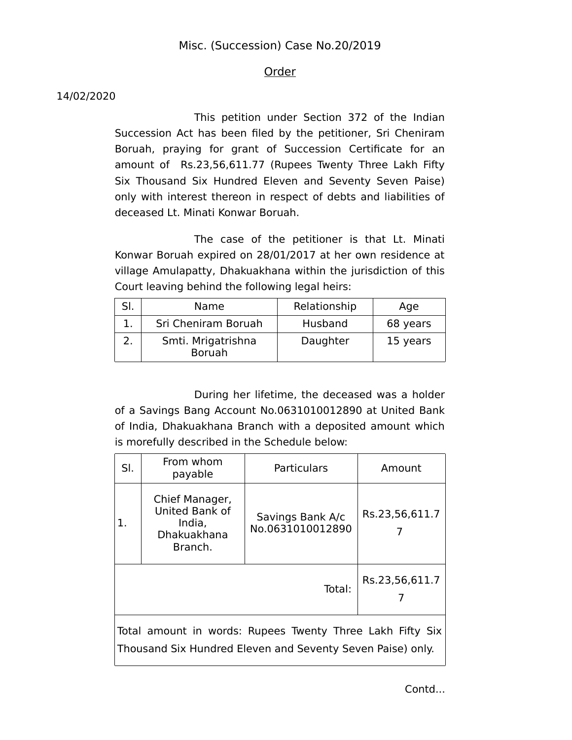## Misc. (Succession) Case No.20/2019

## Order

## 14/02/2020

This petition under Section 372 of the Indian Succession Act has been filed by the petitioner, Sri Cheniram Boruah, praying for grant of Succession Certificate for an amount of Rs.23,56,611.77 (Rupees Twenty Three Lakh Fifty Six Thousand Six Hundred Eleven and Seventy Seven Paise) only with interest thereon in respect of debts and liabilities of deceased Lt. Minati Konwar Boruah.

The case of the petitioner is that Lt. Minati Konwar Boruah expired on 28/01/2017 at her own residence at village Amulapatty, Dhakuakhana within the jurisdiction of this Court leaving behind the following legal heirs:

| Name                                | Relationship | Age      |
|-------------------------------------|--------------|----------|
| Sri Cheniram Boruah                 | Husband      | 68 years |
| Smti. Mrigatrishna<br><b>Boruah</b> | Daughter     | 15 years |

During her lifetime, the deceased was a holder of a Savings Bang Account No.0631010012890 at United Bank of India, Dhakuakhana Branch with a deposited amount which is morefully described in the Schedule below:

| SI.                                                                                                                     | From whom<br>payable                                                 | Particulars                          | Amount         |  |
|-------------------------------------------------------------------------------------------------------------------------|----------------------------------------------------------------------|--------------------------------------|----------------|--|
|                                                                                                                         | Chief Manager,<br>United Bank of<br>India,<br>Dhakuakhana<br>Branch. | Savings Bank A/c<br>No.0631010012890 | Rs.23,56,611.7 |  |
|                                                                                                                         |                                                                      | Rs.23,56,611.7                       |                |  |
| Total amount in words: Rupees Twenty Three Lakh Fifty Six<br>Thousand Six Hundred Eleven and Seventy Seven Paise) only. |                                                                      |                                      |                |  |